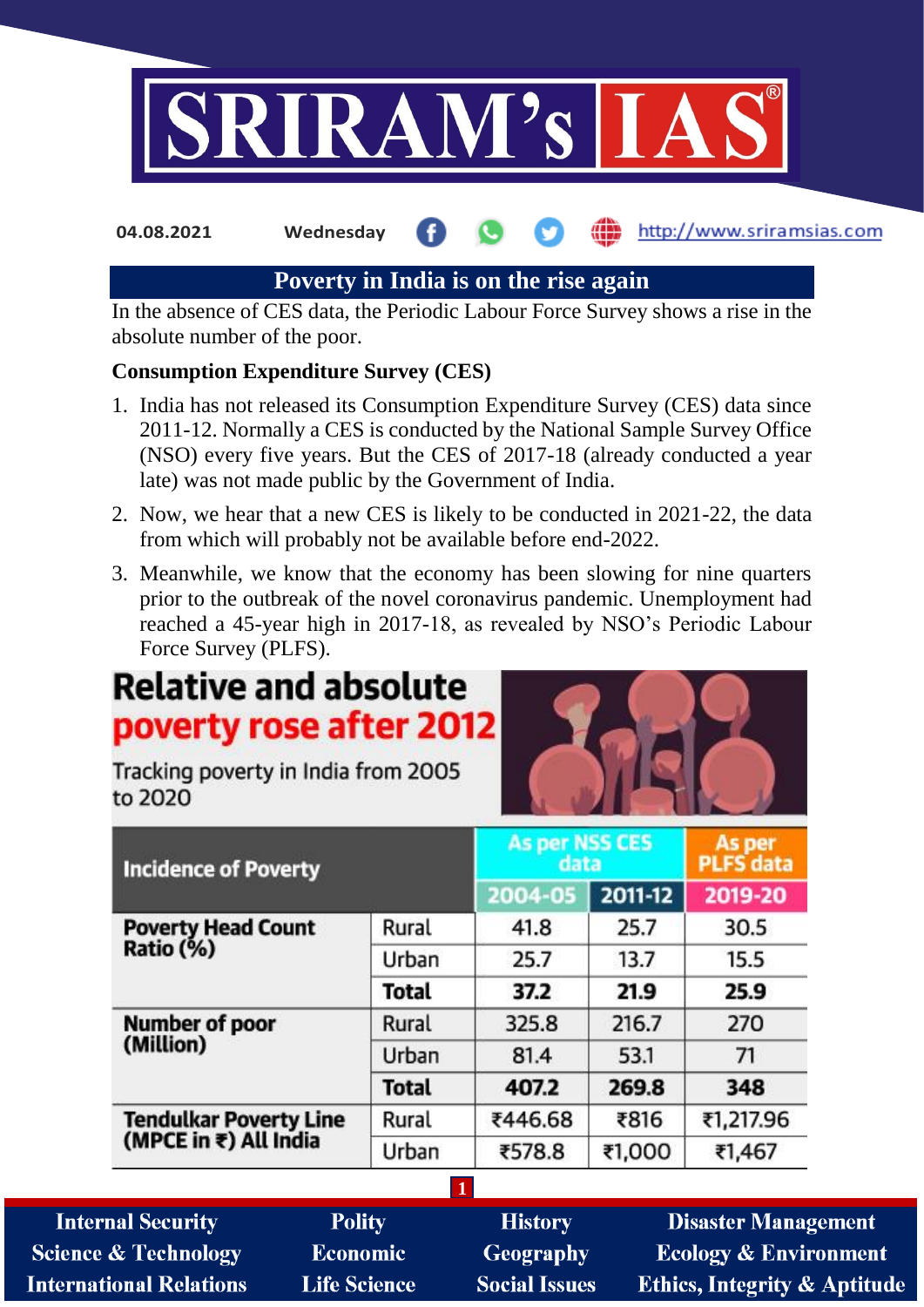

**04.08.2021 Wednesday**

http://www.sriramsias.com

# **Poverty in India is on the rise again**

In the absence of CES data, the Periodic Labour Force Survey shows a rise in the absolute number of the poor.

## **Consumption Expenditure Survey (CES)**

- 1. India has not released its Consumption Expenditure Survey (CES) data since 2011-12. Normally a CES is conducted by the National Sample Survey Office (NSO) every five years. But the CES of 2017-18 (already conducted a year late) was not made public by the Government of India.
- 2. Now, we hear that a new CES is likely to be conducted in 2021-22, the data from which will probably not be available before end-2022.
- 3. Meanwhile, we know that the economy has been slowing for nine quarters prior to the outbreak of the novel coronavirus pandemic. Unemployment had reached a 45-year high in 2017-18, as revealed by NSO's Periodic Labour Force Survey (PLFS).

# **Relative and absolute** poverty rose after 2012

Tracking poverty in India from 2005 to 2020

| <b>Incidence of Poverty</b>                     |              | <b>As per NSS CES</b><br>data |         | As per<br>PLFS data |  |
|-------------------------------------------------|--------------|-------------------------------|---------|---------------------|--|
|                                                 |              | 2004-05                       | 2011-12 | 2019-20             |  |
| <b>Poverty Head Count</b><br>Ratio (%)          | Rural        | 41.8                          | 25.7    | 30.5                |  |
|                                                 | Urban        | 25.7                          | 13.7    | 15.5                |  |
|                                                 | <b>Total</b> | 37.2                          | 21.9    | 25.9                |  |
| <b>Number of poor</b><br>(Million)              | Rural        | 325.8                         | 216.7   | 270                 |  |
|                                                 | Urban        | 81.4                          | 53.1    | 71                  |  |
|                                                 | <b>Total</b> | 407.2                         | 269.8   | 348                 |  |
| Tendulkar Poverty Line<br>(MPCE in ₹) All India | Rural        | ₹446.68                       | ₹816    | ₹1,217.96           |  |
|                                                 | Urban        | ₹578.8                        | ₹1,000  | ₹1,467              |  |

**1 Internal Security Polity History Disaster Management Economic Science & Technology Geography Ecology & Environment Ethics, Integrity & Aptitude International Relations Life Science Social Issues**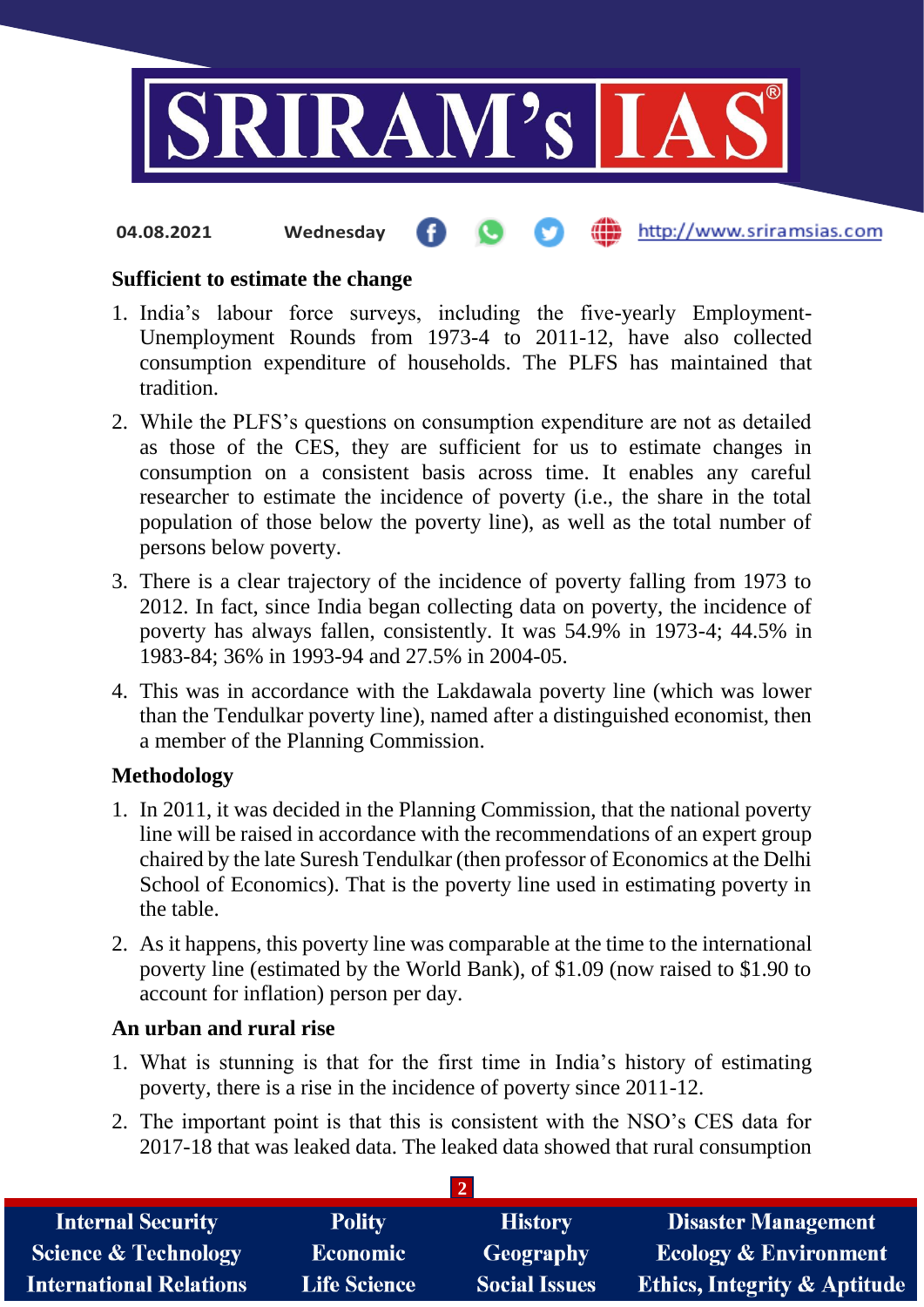

**fin** http://www.sriramsias.com

**Sufficient to estimate the change**

**04.08.2021 Wednesday**

- 1. India's labour force surveys, including the five-yearly Employment-Unemployment Rounds from 1973-4 to 2011-12, have also collected consumption expenditure of households. The PLFS has maintained that tradition.
- 2. While the PLFS's questions on consumption expenditure are not as detailed as those of the CES, they are sufficient for us to estimate changes in consumption on a consistent basis across time. It enables any careful researcher to estimate the incidence of poverty (i.e., the share in the total population of those below the poverty line), as well as the total number of persons below poverty.
- 3. There is a clear trajectory of the incidence of poverty falling from 1973 to 2012. In fact, since India began collecting data on poverty, the incidence of poverty has always fallen, consistently. It was 54.9% in 1973-4; 44.5% in 1983-84; 36% in 1993-94 and 27.5% in 2004-05.
- 4. This was in accordance with the Lakdawala poverty line (which was lower than the Tendulkar poverty line), named after a distinguished economist, then a member of the Planning Commission.

## **Methodology**

- 1. In 2011, it was decided in the Planning Commission, that the national poverty line will be raised in accordance with the recommendations of an expert group chaired by the late Suresh Tendulkar (then professor of Economics at the Delhi School of Economics). That is the poverty line used in estimating poverty in the table.
- 2. As it happens, this poverty line was comparable at the time to the international poverty line (estimated by the World Bank), of \$1.09 (now raised to \$1.90 to account for inflation) person per day.

## **An urban and rural rise**

- 1. What is stunning is that for the first time in India's history of estimating poverty, there is a rise in the incidence of poverty since 2011-12.
- 2. The important point is that this is consistent with the NSO's CES data for 2017-18 that was leaked data. The leaked data showed that rural consumption

**2**

| <b>Internal Security</b>        | <b>Polity</b>       | <b>History</b>       | <b>Disaster Management</b>              |  |  |
|---------------------------------|---------------------|----------------------|-----------------------------------------|--|--|
| <b>Science &amp; Technology</b> | <b>Economic</b>     | Geography            | <b>Ecology &amp; Environment</b>        |  |  |
| <b>International Relations</b>  | <b>Life Science</b> | <b>Social Issues</b> | <b>Ethics, Integrity &amp; Aptitude</b> |  |  |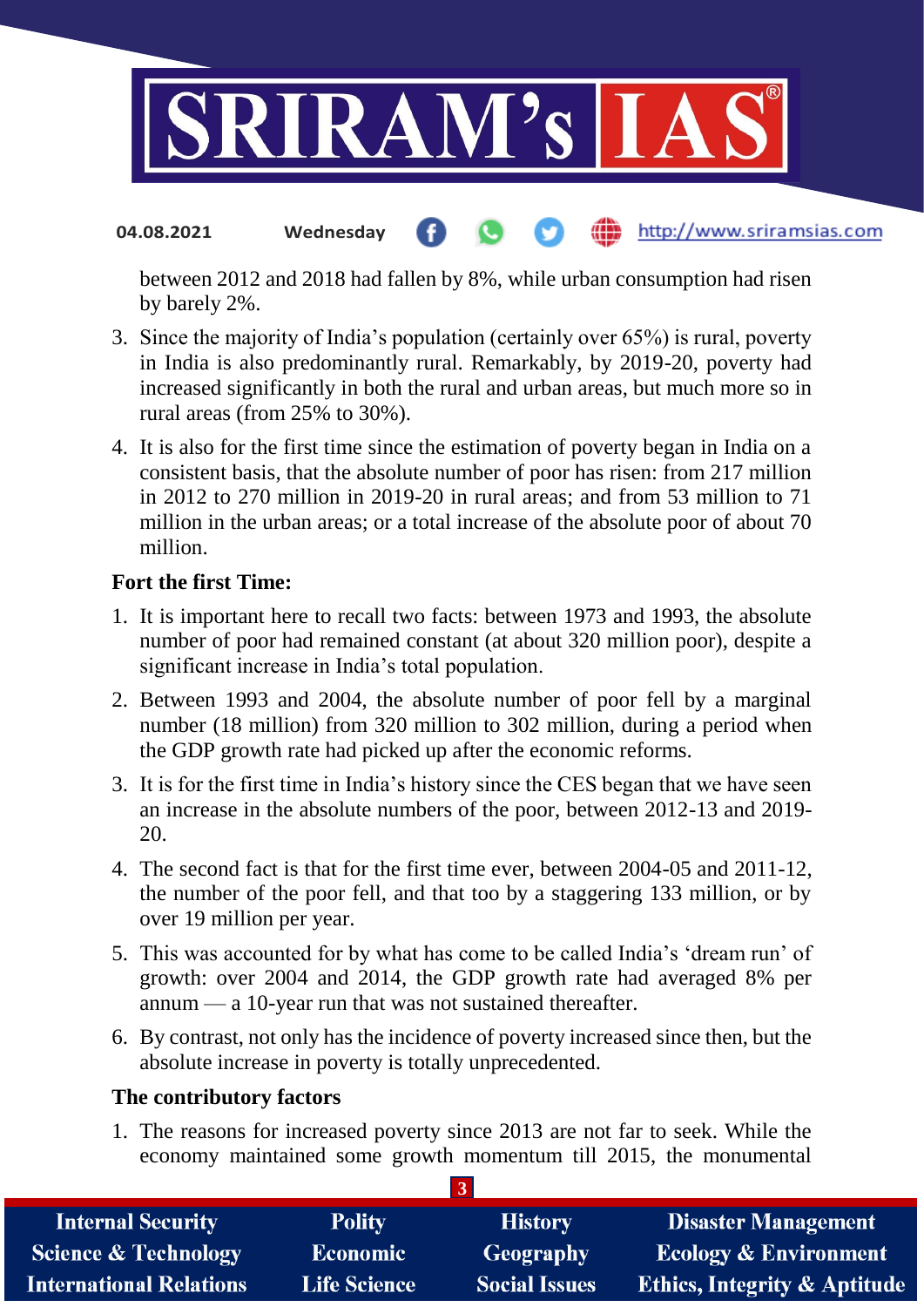

#### http://www.sriramsias.com **04.08.2021 Wednesday**

between 2012 and 2018 had fallen by 8%, while urban consumption had risen by barely 2%.

- 3. Since the majority of India's population (certainly over 65%) is rural, poverty in India is also predominantly rural. Remarkably, by 2019-20, poverty had increased significantly in both the rural and urban areas, but much more so in rural areas (from 25% to 30%).
- 4. It is also for the first time since the estimation of poverty began in India on a consistent basis, that the absolute number of poor has risen: from 217 million in 2012 to 270 million in 2019-20 in rural areas; and from 53 million to 71 million in the urban areas; or a total increase of the absolute poor of about 70 million.

## **Fort the first Time:**

- 1. It is important here to recall two facts: between 1973 and 1993, the absolute number of poor had remained constant (at about 320 million poor), despite a significant increase in India's total population.
- 2. Between 1993 and 2004, the absolute number of poor fell by a marginal number (18 million) from 320 million to 302 million, during a period when the GDP growth rate had picked up after the economic reforms.
- 3. It is for the first time in India's history since the CES began that we have seen an increase in the absolute numbers of the poor, between 2012-13 and 2019- 20.
- 4. The second fact is that for the first time ever, between 2004-05 and 2011-12, the number of the poor fell, and that too by a staggering 133 million, or by over 19 million per year.
- 5. This was accounted for by what has come to be called India's 'dream run' of growth: over 2004 and 2014, the GDP growth rate had averaged 8% per annum — a 10-year run that was not sustained thereafter.
- 6. By contrast, not only has the incidence of poverty increased since then, but the absolute increase in poverty is totally unprecedented.

## **The contributory factors**

1. The reasons for increased poverty since 2013 are not far to seek. While the economy maintained some growth momentum till 2015, the monumental

**3**

| <b>Internal Security</b>        | <b>Polity</b>       | <b>History</b>       | <b>Disaster Management</b>              |  |  |  |
|---------------------------------|---------------------|----------------------|-----------------------------------------|--|--|--|
| <b>Science &amp; Technology</b> | <b>Economic</b>     | Geography            | <b>Ecology &amp; Environment</b>        |  |  |  |
| <b>International Relations</b>  | <b>Life Science</b> | <b>Social Issues</b> | <b>Ethics, Integrity &amp; Aptitude</b> |  |  |  |